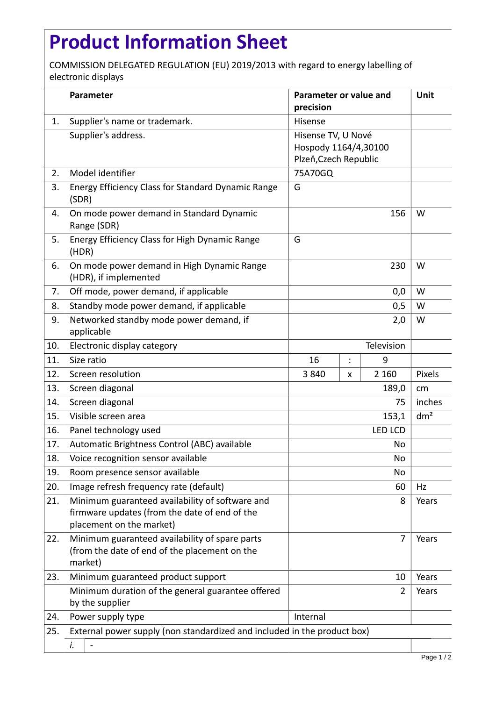## **Product Information Sheet**

COMMISSION DELEGATED REGULATION (EU) 2019/2013 with regard to energy labelling of electronic displays

|     | Parameter                                                                                                                    | Parameter or value and<br>precision                                 |   |         | Unit            |
|-----|------------------------------------------------------------------------------------------------------------------------------|---------------------------------------------------------------------|---|---------|-----------------|
| 1.  | Supplier's name or trademark.                                                                                                | Hisense                                                             |   |         |                 |
|     | Supplier's address.                                                                                                          | Hisense TV, U Nové<br>Hospody 1164/4,30100<br>Plzeň, Czech Republic |   |         |                 |
| 2.  | Model identifier                                                                                                             | 75A70GQ                                                             |   |         |                 |
| 3.  | <b>Energy Efficiency Class for Standard Dynamic Range</b><br>(SDR)                                                           | G                                                                   |   |         |                 |
| 4.  | On mode power demand in Standard Dynamic<br>Range (SDR)                                                                      | 156                                                                 |   |         | W               |
| 5.  | Energy Efficiency Class for High Dynamic Range<br>(HDR)                                                                      | G                                                                   |   |         |                 |
| 6.  | On mode power demand in High Dynamic Range<br>(HDR), if implemented                                                          | 230                                                                 |   |         | W               |
| 7.  | Off mode, power demand, if applicable                                                                                        | 0,0                                                                 |   |         | W               |
| 8.  | Standby mode power demand, if applicable                                                                                     | 0,5                                                                 |   |         | W               |
| 9.  | Networked standby mode power demand, if<br>applicable                                                                        |                                                                     |   | 2,0     | W               |
| 10. | Electronic display category                                                                                                  | Television                                                          |   |         |                 |
| 11. | Size ratio                                                                                                                   | 16                                                                  |   | 9       |                 |
| 12. | Screen resolution                                                                                                            | 3840                                                                | x | 2 1 6 0 | Pixels          |
| 13. | Screen diagonal                                                                                                              | 189,0                                                               |   |         | cm              |
| 14. | Screen diagonal                                                                                                              | 75                                                                  |   |         | inches          |
| 15. | Visible screen area                                                                                                          | 153,1                                                               |   |         | dm <sup>2</sup> |
| 16. | Panel technology used                                                                                                        | <b>LED LCD</b>                                                      |   |         |                 |
| 17. | Automatic Brightness Control (ABC) available                                                                                 | No                                                                  |   |         |                 |
| 18. | Voice recognition sensor available                                                                                           | No                                                                  |   |         |                 |
| 19. | Room presence sensor available                                                                                               | No                                                                  |   |         |                 |
| 20. | Image refresh frequency rate (default)                                                                                       | 60                                                                  |   |         | Hz              |
| 21. | Minimum guaranteed availability of software and<br>firmware updates (from the date of end of the<br>placement on the market) |                                                                     |   | 8       | Years           |
| 22. | Minimum guaranteed availability of spare parts<br>(from the date of end of the placement on the<br>market)                   | $\overline{7}$                                                      |   |         | Years           |
| 23. | Minimum guaranteed product support                                                                                           | 10                                                                  |   |         | Years           |
|     | Minimum duration of the general guarantee offered<br>by the supplier                                                         | 2                                                                   |   |         | Years           |
| 24. | Power supply type                                                                                                            | Internal                                                            |   |         |                 |
| 25. | External power supply (non standardized and included in the product box)                                                     |                                                                     |   |         |                 |
|     | i.                                                                                                                           |                                                                     |   |         |                 |